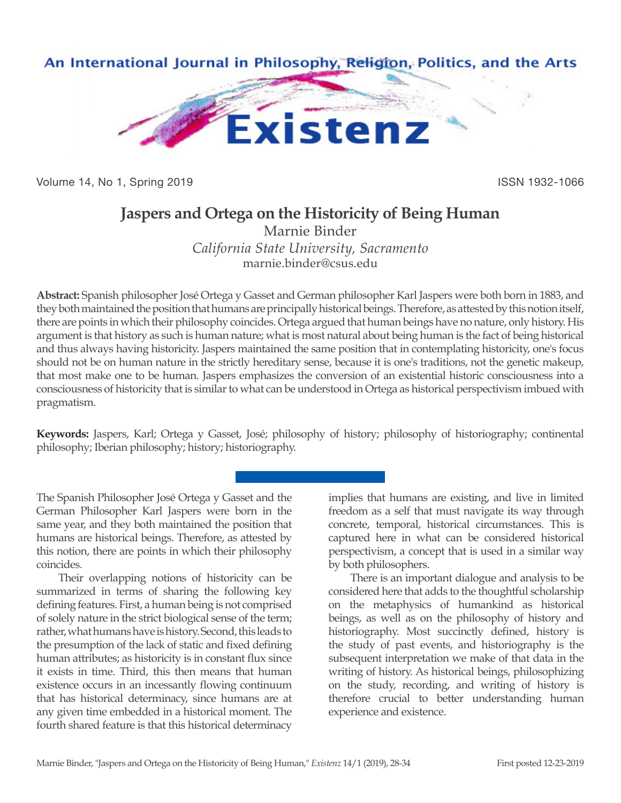

Volume 14, No 1, Spring 2019 **ISSN 1932-1066** 

# **Jaspers and Ortega on the Historicity of Being Human**

Marnie Binder *California State University, Sacramento* marnie.binder@csus.edu

**Abstract:** Spanish philosopher José Ortega y Gasset and German philosopher Karl Jaspers were both born in 1883, and they both maintained the position that humans are principally historical beings. Therefore, as attested by this notion itself, there are points in which their philosophy coincides. Ortega argued that human beings have no nature, only history. His argument is that history as such is human nature; what is most natural about being human is the fact of being historical and thus always having historicity. Jaspers maintained the same position that in contemplating historicity, one's focus should not be on human nature in the strictly hereditary sense, because it is one's traditions, not the genetic makeup, that most make one to be human. Jaspers emphasizes the conversion of an existential historic consciousness into a consciousness of historicity that is similar to what can be understood in Ortega as historical perspectivism imbued with pragmatism.

**Keywords:** Jaspers, Karl; Ortega y Gasset, José; philosophy of history; philosophy of historiography; continental philosophy; Iberian philosophy; history; historiography.

The Spanish Philosopher José Ortega y Gasset and the German Philosopher Karl Jaspers were born in the same year, and they both maintained the position that humans are historical beings. Therefore, as attested by this notion, there are points in which their philosophy coincides.

Their overlapping notions of historicity can be summarized in terms of sharing the following key defining features. First, a human being is not comprised of solely nature in the strict biological sense of the term; rather, what humans have is history. Second, this leads to the presumption of the lack of static and fixed defining human attributes; as historicity is in constant flux since it exists in time. Third, this then means that human existence occurs in an incessantly flowing continuum that has historical determinacy, since humans are at any given time embedded in a historical moment. The fourth shared feature is that this historical determinacy

implies that humans are existing, and live in limited freedom as a self that must navigate its way through concrete, temporal, historical circumstances. This is captured here in what can be considered historical perspectivism, a concept that is used in a similar way by both philosophers.

There is an important dialogue and analysis to be considered here that adds to the thoughtful scholarship on the metaphysics of humankind as historical beings, as well as on the philosophy of history and historiography. Most succinctly defined, history is the study of past events, and historiography is the subsequent interpretation we make of that data in the writing of history. As historical beings, philosophizing on the study, recording, and writing of history is therefore crucial to better understanding human experience and existence.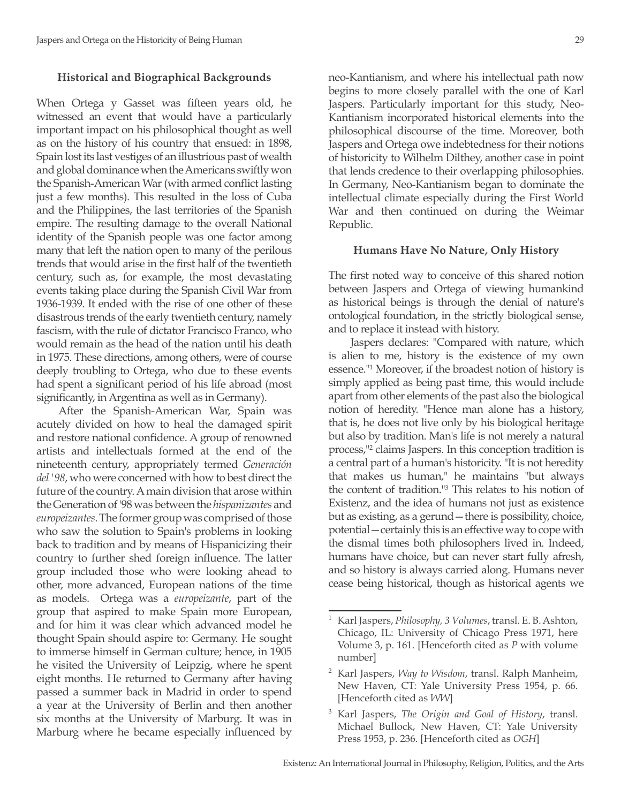#### **Historical and Biographical Backgrounds**

When Ortega y Gasset was fifteen years old, he witnessed an event that would have a particularly important impact on his philosophical thought as well as on the history of his country that ensued: in 1898, Spain lost its last vestiges of an illustrious past of wealth and global dominance when the Americans swiftly won the Spanish-American War (with armed conflict lasting just a few months). This resulted in the loss of Cuba and the Philippines, the last territories of the Spanish empire. The resulting damage to the overall National identity of the Spanish people was one factor among many that left the nation open to many of the perilous trends that would arise in the first half of the twentieth century, such as, for example, the most devastating events taking place during the Spanish Civil War from 1936-1939. It ended with the rise of one other of these disastrous trends of the early twentieth century, namely fascism, with the rule of dictator Francisco Franco, who would remain as the head of the nation until his death in 1975. These directions, among others, were of course deeply troubling to Ortega, who due to these events had spent a significant period of his life abroad (most significantly, in Argentina as well as in Germany).

After the Spanish-American War, Spain was acutely divided on how to heal the damaged spirit and restore national confidence. A group of renowned artists and intellectuals formed at the end of the nineteenth century, appropriately termed *Generación del '98*, who were concerned with how to best direct the future of the country. A main division that arose within the Generation of '98 was between the *hispanizantes* and *europeizantes*. The former group was comprised of those who saw the solution to Spain's problems in looking back to tradition and by means of Hispanicizing their country to further shed foreign influence. The latter group included those who were looking ahead to other, more advanced, European nations of the time as models. Ortega was a *europeizante*, part of the group that aspired to make Spain more European, and for him it was clear which advanced model he thought Spain should aspire to: Germany. He sought to immerse himself in German culture; hence, in 1905 he visited the University of Leipzig, where he spent eight months. He returned to Germany after having passed a summer back in Madrid in order to spend a year at the University of Berlin and then another six months at the University of Marburg. It was in Marburg where he became especially influenced by

neo-Kantianism, and where his intellectual path now begins to more closely parallel with the one of Karl Jaspers. Particularly important for this study, Neo-Kantianism incorporated historical elements into the philosophical discourse of the time. Moreover, both Jaspers and Ortega owe indebtedness for their notions of historicity to Wilhelm Dilthey, another case in point that lends credence to their overlapping philosophies. In Germany, Neo-Kantianism began to dominate the intellectual climate especially during the First World War and then continued on during the Weimar Republic.

#### **Humans Have No Nature, Only History**

The first noted way to conceive of this shared notion between Jaspers and Ortega of viewing humankind as historical beings is through the denial of nature's ontological foundation, in the strictly biological sense, and to replace it instead with history.

Jaspers declares: "Compared with nature, which is alien to me, history is the existence of my own essence."1 Moreover, if the broadest notion of history is simply applied as being past time, this would include apart from other elements of the past also the biological notion of heredity. "Hence man alone has a history, that is, he does not live only by his biological heritage but also by tradition. Man's life is not merely a natural process,"2 claims Jaspers. In this conception tradition is a central part of a human's historicity. "It is not heredity that makes us human," he maintains "but always the content of tradition."3 This relates to his notion of Existenz, and the idea of humans not just as existence but as existing, as a gerund—there is possibility, choice, potential—certainly this is an effective way to cope with the dismal times both philosophers lived in. Indeed, humans have choice, but can never start fully afresh, and so history is always carried along. Humans never cease being historical, though as historical agents we

<sup>1</sup> Karl Jaspers, *Philosophy, 3 Volumes*, transl. E. B. Ashton, Chicago, IL: University of Chicago Press 1971, here Volume 3, p. 161. [Henceforth cited as *P* with volume number]

<sup>2</sup> Karl Jaspers, *Way to Wisdom*, transl. Ralph Manheim, New Haven, CT: Yale University Press 1954, p. 66. [Henceforth cited as *WW*]

<sup>3</sup> Karl Jaspers, *The Origin and Goal of History*, transl. Michael Bullock, New Haven, CT: Yale University Press 1953, p. 236. [Henceforth cited as *OGH*]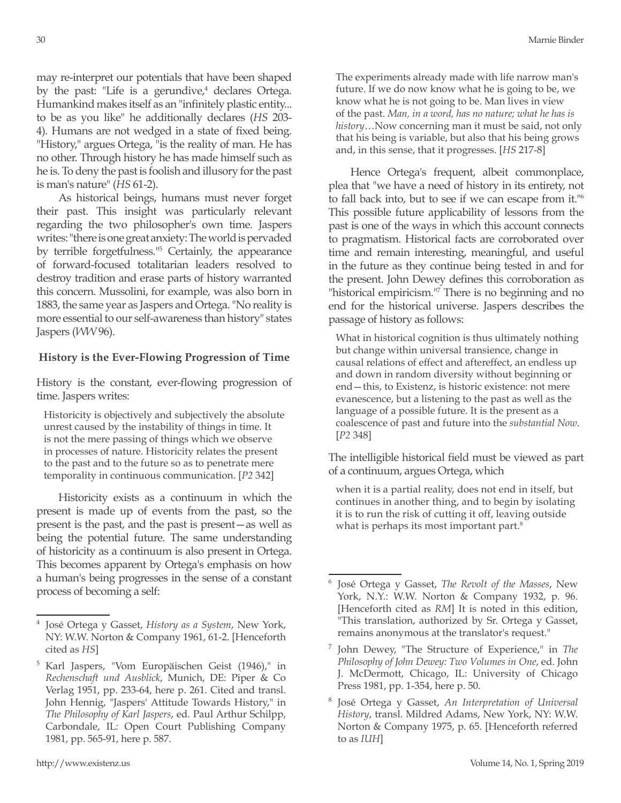may re-interpret our potentials that have been shaped by the past: "Life is a gerundive, $4$  declares Ortega. Humankind makes itself as an "infinitely plastic entity... to be as you like" he additionally declares (*HS* 203- 4). Humans are not wedged in a state of fixed being. "History," argues Ortega, "is the reality of man. He has no other. Through history he has made himself such as he is. To deny the past is foolish and illusory for the past is man's nature" (*HS* 61-2).

As historical beings, humans must never forget their past. This insight was particularly relevant regarding the two philosopher's own time. Jaspers writes: "there is one great anxiety: The world is pervaded by terrible forgetfulness."5 Certainly, the appearance of forward-focused totalitarian leaders resolved to destroy tradition and erase parts of history warranted this concern. Mussolini, for example, was also born in 1883, the same year as Jaspers and Ortega. "No reality is more essential to our self-awareness than history" states Jaspers (*WW* 96).

### **History is the Ever-Flowing Progression of Time**

History is the constant, ever-flowing progression of time. Jaspers writes:

Historicity is objectively and subjectively the absolute unrest caused by the instability of things in time. It is not the mere passing of things which we observe in processes of nature. Historicity relates the present to the past and to the future so as to penetrate mere temporality in continuous communication. [*P2* 342]

Historicity exists as a continuum in which the present is made up of events from the past, so the present is the past, and the past is present—as well as being the potential future. The same understanding of historicity as a continuum is also present in Ortega. This becomes apparent by Ortega's emphasis on how a human's being progresses in the sense of a constant process of becoming a self:

The experiments already made with life narrow man's future. If we do now know what he is going to be, we know what he is not going to be. Man lives in view of the past. *Man, in a word, has no nature; what he has is history*…Now concerning man it must be said, not only that his being is variable, but also that his being grows and, in this sense, that it progresses. [*HS* 217-8]

Hence Ortega's frequent, albeit commonplace, plea that "we have a need of history in its entirety, not to fall back into, but to see if we can escape from it."6 This possible future applicability of lessons from the past is one of the ways in which this account connects to pragmatism. Historical facts are corroborated over time and remain interesting, meaningful, and useful in the future as they continue being tested in and for the present. John Dewey defines this corroboration as "historical empiricism."<sup>7</sup> There is no beginning and no end for the historical universe. Jaspers describes the passage of history as follows:

What in historical cognition is thus ultimately nothing but change within universal transience, change in causal relations of effect and aftereffect, an endless up and down in random diversity without beginning or end—this, to Existenz, is historic existence: not mere evanescence, but a listening to the past as well as the language of a possible future. It is the present as a coalescence of past and future into the *substantial Now*. [*P2* 348]

The intelligible historical field must be viewed as part of a continuum, argues Ortega, which

when it is a partial reality, does not end in itself, but continues in another thing, and to begin by isolating it is to run the risk of cutting it off, leaving outside what is perhaps its most important part.<sup>8</sup>

<sup>4</sup> José Ortega y Gasset, *History as a System*, New York, NY: W.W. Norton & Company 1961, 61-2. [Henceforth cited as *HS*]

<sup>&</sup>lt;sup>5</sup> Karl Jaspers, "Vom Europäischen Geist (1946)," in *Rechenschaft und Ausblick*, Munich, DE: Piper & Co Verlag 1951, pp. 233-64, here p. 261. Cited and transl. John Hennig, "Jaspers' Attitude Towards History," in *The Philosophy of Karl Jaspers*, ed. Paul Arthur Schilpp, Carbondale, IL: Open Court Publishing Company 1981, pp. 565-91, here p. 587.

<sup>6</sup> José Ortega y Gasset, *The Revolt of the Masses*, New York, N.Y.: W.W. Norton & Company 1932, p. 96. [Henceforth cited as *RM*] It is noted in this edition, "This translation, authorized by Sr. Ortega y Gasset, remains anonymous at the translator's request."

<sup>7</sup> John Dewey, "The Structure of Experience," in *The Philosophy of John Dewey: Two Volumes in One*, ed. John J. McDermott, Chicago, IL: University of Chicago Press 1981, pp. 1-354, here p. 50.

<sup>8</sup> José Ortega y Gasset, *An Interpretation of Universal History*, transl. Mildred Adams, New York, NY: W.W. Norton & Company 1975, p. 65. [Henceforth referred to as *IUH*]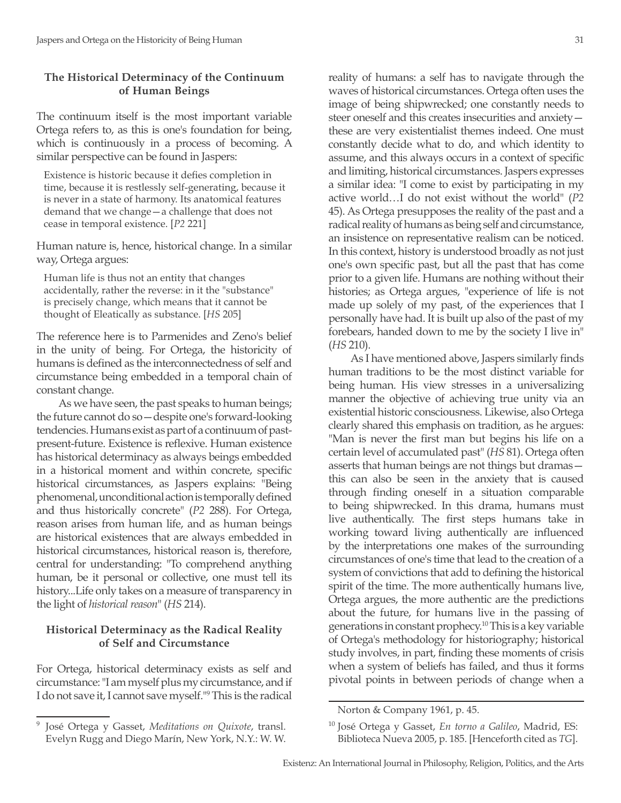## **The Historical Determinacy of the Continuum of Human Beings**

The continuum itself is the most important variable Ortega refers to, as this is one's foundation for being, which is continuously in a process of becoming. A similar perspective can be found in Jaspers:

Existence is historic because it defies completion in time, because it is restlessly self-generating, because it is never in a state of harmony. Its anatomical features demand that we change—a challenge that does not cease in temporal existence. [*P2* 221]

Human nature is, hence, historical change. In a similar way, Ortega argues:

Human life is thus not an entity that changes accidentally, rather the reverse: in it the "substance" is precisely change, which means that it cannot be thought of Eleatically as substance. [*HS* 205]

The reference here is to Parmenides and Zeno's belief in the unity of being. For Ortega, the historicity of humans is defined as the interconnectedness of self and circumstance being embedded in a temporal chain of constant change.

As we have seen, the past speaks to human beings; the future cannot do so—despite one's forward-looking tendencies. Humans exist as part of a continuum of pastpresent-future. Existence is reflexive. Human existence has historical determinacy as always beings embedded in a historical moment and within concrete, specific historical circumstances, as Jaspers explains: "Being phenomenal, unconditional action is temporally defined and thus historically concrete" (*P2* 288). For Ortega, reason arises from human life, and as human beings are historical existences that are always embedded in historical circumstances, historical reason is, therefore, central for understanding: "To comprehend anything human, be it personal or collective, one must tell its history...Life only takes on a measure of transparency in the light of *historical reason*" (*HS* 214).

## **Historical Determinacy as the Radical Reality of Self and Circumstance**

For Ortega, historical determinacy exists as self and circumstance: "I am myself plus my circumstance, and if I do not save it, I cannot save myself."<sup>9</sup> This is the radical reality of humans: a self has to navigate through the waves of historical circumstances. Ortega often uses the image of being shipwrecked; one constantly needs to steer oneself and this creates insecurities and anxiety these are very existentialist themes indeed. One must constantly decide what to do, and which identity to assume, and this always occurs in a context of specific and limiting, historical circumstances. Jaspers expresses a similar idea: "I come to exist by participating in my active world…I do not exist without the world" (*P2*  45). As Ortega presupposes the reality of the past and a radical reality of humans as being self and circumstance, an insistence on representative realism can be noticed. In this context, history is understood broadly as not just one's own specific past, but all the past that has come prior to a given life. Humans are nothing without their histories; as Ortega argues, "experience of life is not made up solely of my past, of the experiences that I personally have had. It is built up also of the past of my forebears, handed down to me by the society I live in" (*HS* 210).

As I have mentioned above, Jaspers similarly finds human traditions to be the most distinct variable for being human. His view stresses in a universalizing manner the objective of achieving true unity via an existential historic consciousness. Likewise, also Ortega clearly shared this emphasis on tradition, as he argues: "Man is never the first man but begins his life on a certain level of accumulated past" (*HS* 81). Ortega often asserts that human beings are not things but dramas this can also be seen in the anxiety that is caused through finding oneself in a situation comparable to being shipwrecked. In this drama, humans must live authentically. The first steps humans take in working toward living authentically are influenced by the interpretations one makes of the surrounding circumstances of one's time that lead to the creation of a system of convictions that add to defining the historical spirit of the time. The more authentically humans live, Ortega argues, the more authentic are the predictions about the future, for humans live in the passing of generations in constant prophecy.10 This is a key variable of Ortega's methodology for historiography; historical study involves, in part, finding these moments of crisis when a system of beliefs has failed, and thus it forms pivotal points in between periods of change when a

<sup>10</sup> José Ortega y Gasset, *En torno a Galileo*, Madrid, ES: Biblioteca Nueva 2005, p. 185. [Henceforth cited as *TG*].

<sup>9</sup> José Ortega y Gasset, *Meditations on Quixote*, transl. Evelyn Rugg and Diego Marín, New York, N.Y.: W. W.

Norton & Company 1961, p. 45.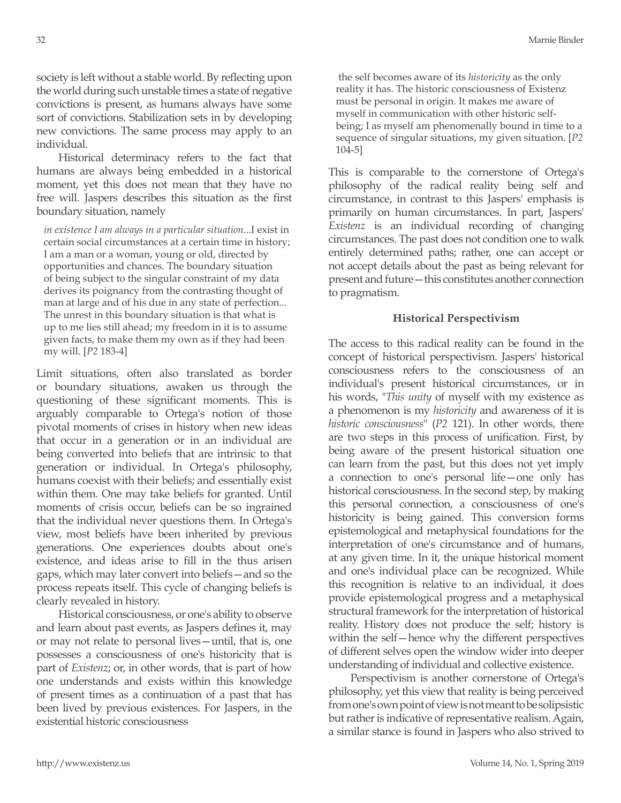society is left without a stable world. By reflecting upon the world during such unstable times a state of negative convictions is present, as humans always have some sort of convictions. Stabilization sets in by developing new convictions. The same process may apply to an individual.

Historical determinacy refers to the fact that humans are always being embedded in a historical moment, yet this does not mean that they have no free will. Jaspers describes this situation as the first boundary situation, namely

*in existence I am always in a particular situation*...I exist in certain social circumstances at a certain time in history; I am a man or a woman, young or old, directed by opportunities and chances. The boundary situation of being subject to the singular constraint of my data derives its poignancy from the contrasting thought of man at large and of his due in any state of perfection... The unrest in this boundary situation is that what is up to me lies still ahead; my freedom in it is to assume given facts, to make them my own as if they had been my will. [*P2* 183-4]

Limit situations, often also translated as border or boundary situations, awaken us through the questioning of these significant moments. This is arguably comparable to Ortega's notion of those pivotal moments of crises in history when new ideas that occur in a generation or in an individual are being converted into beliefs that are intrinsic to that generation or individual. In Ortega's philosophy, humans coexist with their beliefs; and essentially exist within them. One may take beliefs for granted. Until moments of crisis occur, beliefs can be so ingrained that the individual never questions them. In Ortega's view, most beliefs have been inherited by previous generations. One experiences doubts about one's existence, and ideas arise to fill in the thus arisen gaps, which may later convert into beliefs—and so the process repeats itself. This cycle of changing beliefs is clearly revealed in history.

Historical consciousness, or one's ability to observe and learn about past events, as Jaspers defines it, may or may not relate to personal lives—until, that is, one possesses a consciousness of one's historicity that is part of *Existenz*; or, in other words, that is part of how one understands and exists within this knowledge of present times as a continuation of a past that has been lived by previous existences. For Jaspers, in the existential historic consciousness

 the self becomes aware of its *historicity* as the only reality it has. The historic consciousness of Existenz must be personal in origin. It makes me aware of myself in communication with other historic selfbeing; I as myself am phenomenally bound in time to a sequence of singular situations, my given situation. [*P2* 104-5]

This is comparable to the cornerstone of Ortega's philosophy of the radical reality being self and circumstance, in contrast to this Jaspers' emphasis is primarily on human circumstances. In part, Jaspers' *Existenz* is an individual recording of changing circumstances. The past does not condition one to walk entirely determined paths; rather, one can accept or not accept details about the past as being relevant for present and future—this constitutes another connection to pragmatism.

## **Historical Perspectivism**

The access to this radical reality can be found in the concept of historical perspectivism. Jaspers' historical consciousness refers to the consciousness of an individual's present historical circumstances, or in his words, "*This unity* of myself with my existence as a phenomenon is my *historicity* and awareness of it is *historic consciousness*" (*P2* 121). In other words, there are two steps in this process of unification. First, by being aware of the present historical situation one can learn from the past, but this does not yet imply a connection to one's personal life—one only has historical consciousness. In the second step, by making this personal connection, a consciousness of one's historicity is being gained. This conversion forms epistemological and metaphysical foundations for the interpretation of one's circumstance and of humans, at any given time. In it, the unique historical moment and one's individual place can be recognized. While this recognition is relative to an individual, it does provide epistemological progress and a metaphysical structural framework for the interpretation of historical reality. History does not produce the self; history is within the self—hence why the different perspectives of different selves open the window wider into deeper understanding of individual and collective existence.

Perspectivism is another cornerstone of Ortega's philosophy, yet this view that reality is being perceived from one's own point of view is not meant to be solipsistic but rather is indicative of representative realism. Again, a similar stance is found in Jaspers who also strived to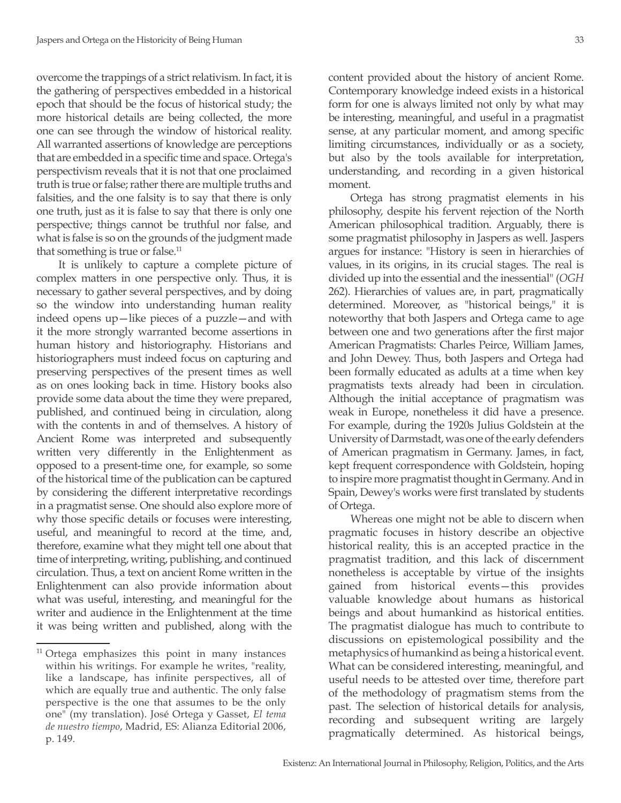overcome the trappings of a strict relativism. In fact, it is the gathering of perspectives embedded in a historical epoch that should be the focus of historical study; the more historical details are being collected, the more one can see through the window of historical reality. All warranted assertions of knowledge are perceptions that are embedded in a specific time and space. Ortega's perspectivism reveals that it is not that one proclaimed truth is true or false; rather there are multiple truths and falsities, and the one falsity is to say that there is only one truth, just as it is false to say that there is only one perspective; things cannot be truthful nor false, and what is false is so on the grounds of the judgment made that something is true or false.<sup>11</sup>

It is unlikely to capture a complete picture of complex matters in one perspective only. Thus, it is necessary to gather several perspectives, and by doing so the window into understanding human reality indeed opens up—like pieces of a puzzle—and with it the more strongly warranted become assertions in human history and historiography. Historians and historiographers must indeed focus on capturing and preserving perspectives of the present times as well as on ones looking back in time. History books also provide some data about the time they were prepared, published, and continued being in circulation, along with the contents in and of themselves. A history of Ancient Rome was interpreted and subsequently written very differently in the Enlightenment as opposed to a present-time one, for example, so some of the historical time of the publication can be captured by considering the different interpretative recordings in a pragmatist sense. One should also explore more of why those specific details or focuses were interesting, useful, and meaningful to record at the time, and, therefore, examine what they might tell one about that time of interpreting, writing, publishing, and continued circulation. Thus, a text on ancient Rome written in the Enlightenment can also provide information about what was useful, interesting, and meaningful for the writer and audience in the Enlightenment at the time it was being written and published, along with the

content provided about the history of ancient Rome. Contemporary knowledge indeed exists in a historical form for one is always limited not only by what may be interesting, meaningful, and useful in a pragmatist sense, at any particular moment, and among specific limiting circumstances, individually or as a society, but also by the tools available for interpretation, understanding, and recording in a given historical moment.

Ortega has strong pragmatist elements in his philosophy, despite his fervent rejection of the North American philosophical tradition. Arguably, there is some pragmatist philosophy in Jaspers as well. Jaspers argues for instance: "History is seen in hierarchies of values, in its origins, in its crucial stages. The real is divided up into the essential and the inessential" (*OGH*  262). Hierarchies of values are, in part, pragmatically determined. Moreover, as "historical beings," it is noteworthy that both Jaspers and Ortega came to age between one and two generations after the first major American Pragmatists: Charles Peirce, William James, and John Dewey. Thus, both Jaspers and Ortega had been formally educated as adults at a time when key pragmatists texts already had been in circulation. Although the initial acceptance of pragmatism was weak in Europe, nonetheless it did have a presence. For example, during the 1920s Julius Goldstein at the University of Darmstadt, was one of the early defenders of American pragmatism in Germany. James, in fact, kept frequent correspondence with Goldstein, hoping to inspire more pragmatist thought in Germany. And in Spain, Dewey's works were first translated by students of Ortega.

Whereas one might not be able to discern when pragmatic focuses in history describe an objective historical reality, this is an accepted practice in the pragmatist tradition, and this lack of discernment nonetheless is acceptable by virtue of the insights gained from historical events—this provides valuable knowledge about humans as historical beings and about humankind as historical entities. The pragmatist dialogue has much to contribute to discussions on epistemological possibility and the metaphysics of humankind as being a historical event. What can be considered interesting, meaningful, and useful needs to be attested over time, therefore part of the methodology of pragmatism stems from the past. The selection of historical details for analysis, recording and subsequent writing are largely pragmatically determined. As historical beings,

 $11$  Ortega emphasizes this point in many instances within his writings. For example he writes, "reality, like a landscape, has infinite perspectives, all of which are equally true and authentic. The only false perspective is the one that assumes to be the only one" (my translation). José Ortega y Gasset, *El tema de nuestro tiempo*, Madrid, ES: Alianza Editorial 2006, p. 149.